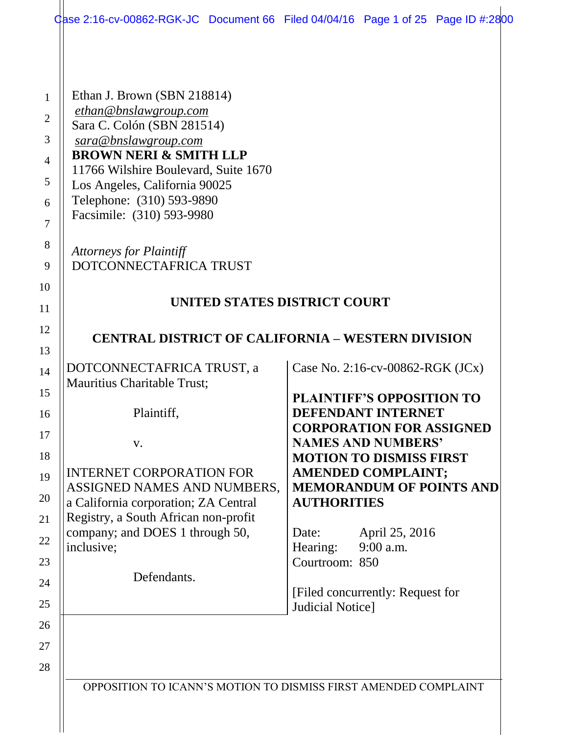| Gase 2:16-cv-00862-RGK-JC Document 66 Filed 04/04/16 Page 1 of 25 Page ID #:2800                                                                                                                                                                                                                                                               |                    |                                                              |  |
|------------------------------------------------------------------------------------------------------------------------------------------------------------------------------------------------------------------------------------------------------------------------------------------------------------------------------------------------|--------------------|--------------------------------------------------------------|--|
| Ethan J. Brown (SBN 218814)<br>ethan@bnslawgroup.com<br>Sara C. Colón (SBN 281514)<br>sara@bnslawgroup.com<br><b>BROWN NERI &amp; SMITH LLP</b><br>11766 Wilshire Boulevard, Suite 1670<br>Los Angeles, California 90025<br>Telephone: (310) 593-9890<br>Facsimile: (310) 593-9980<br><b>Attorneys for Plaintiff</b><br>DOTCONNECTAFRICA TRUST |                    |                                                              |  |
|                                                                                                                                                                                                                                                                                                                                                |                    |                                                              |  |
| UNITED STATES DISTRICT COURT                                                                                                                                                                                                                                                                                                                   |                    |                                                              |  |
| <b>CENTRAL DISTRICT OF CALIFORNIA – WESTERN DIVISION</b>                                                                                                                                                                                                                                                                                       |                    |                                                              |  |
| DOTCONNECTAFRICA TRUST, a                                                                                                                                                                                                                                                                                                                      |                    | Case No. 2:16-cv-00862-RGK $(JCx)$                           |  |
| Mauritius Charitable Trust;                                                                                                                                                                                                                                                                                                                    |                    |                                                              |  |
| Plaintiff,                                                                                                                                                                                                                                                                                                                                     |                    | <b>PLAINTIFF'S OPPOSITION TO</b><br>DEFENDANT INTERNET       |  |
| V.                                                                                                                                                                                                                                                                                                                                             |                    | <b>CORPORATION FOR ASSIGNED</b><br><b>NAMES AND NUMBERS'</b> |  |
|                                                                                                                                                                                                                                                                                                                                                |                    | <b>MOTION TO DISMISS FIRST</b>                               |  |
| <b>INTERNET CORPORATION FOR</b><br>ASSIGNED NAMES AND NUMBERS,                                                                                                                                                                                                                                                                                 |                    | <b>AMENDED COMPLAINT;</b><br><b>MEMORANDUM OF POINTS AND</b> |  |
| a California corporation; ZA Central                                                                                                                                                                                                                                                                                                           | <b>AUTHORITIES</b> |                                                              |  |
| Registry, a South African non-profit<br>company; and DOES 1 through 50,                                                                                                                                                                                                                                                                        | Date:              | April 25, 2016                                               |  |
| inclusive;                                                                                                                                                                                                                                                                                                                                     | Hearing:           | 9:00 a.m.                                                    |  |
| Defendants.                                                                                                                                                                                                                                                                                                                                    | Courtroom: 850     |                                                              |  |
|                                                                                                                                                                                                                                                                                                                                                |                    | [Filed concurrently: Request for                             |  |
|                                                                                                                                                                                                                                                                                                                                                | Judicial Notice]   |                                                              |  |
|                                                                                                                                                                                                                                                                                                                                                |                    |                                                              |  |
|                                                                                                                                                                                                                                                                                                                                                |                    |                                                              |  |
|                                                                                                                                                                                                                                                                                                                                                |                    |                                                              |  |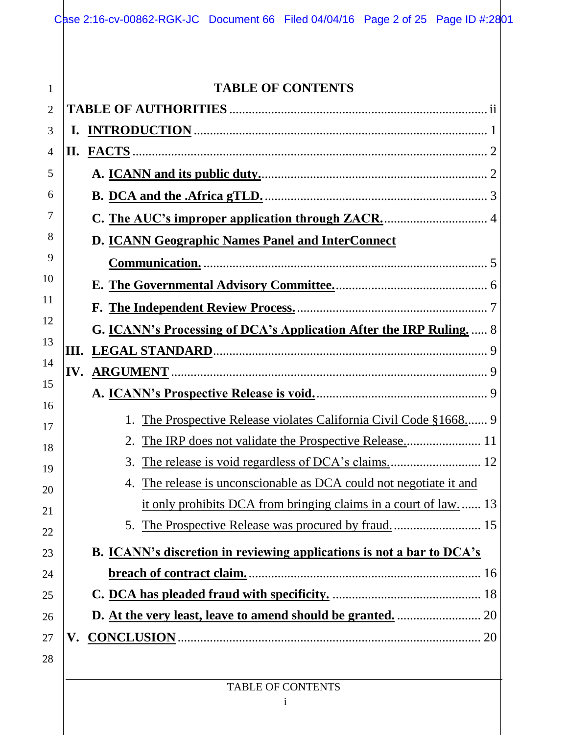|      | <b>TABLE OF CONTENTS</b>                                                     |
|------|------------------------------------------------------------------------------|
|      |                                                                              |
| ı.   |                                                                              |
|      |                                                                              |
|      |                                                                              |
|      |                                                                              |
|      |                                                                              |
|      | D. ICANN Geographic Names Panel and InterConnect                             |
|      |                                                                              |
|      |                                                                              |
|      |                                                                              |
|      | G. <b>ICANN's Processing of DCA's Application After the IRP Ruling.</b> 8    |
| III. |                                                                              |
| IV.  |                                                                              |
|      |                                                                              |
|      | The Prospective Release violates California Civil Code §1668                 |
|      | 2.                                                                           |
|      | 3.                                                                           |
|      | The release is unconscionable as DCA could not negotiate it and<br>4.        |
|      | it only prohibits DCA from bringing claims in a court of law.  13            |
|      |                                                                              |
|      | <b>B.</b> ICANN's discretion in reviewing applications is not a bar to DCA's |
|      |                                                                              |
|      |                                                                              |
|      |                                                                              |
|      | 20                                                                           |
|      |                                                                              |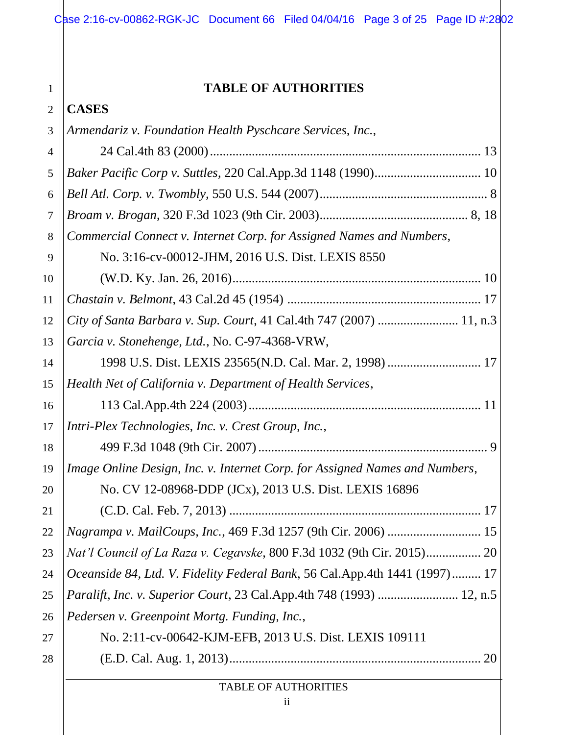## **TABLE OF AUTHORITIES**

|  | <b>CASES</b> |
|--|--------------|
|--|--------------|

| 3  | Armendariz v. Foundation Health Pyschcare Services, Inc.,                   |
|----|-----------------------------------------------------------------------------|
| 4  |                                                                             |
| 5  |                                                                             |
| 6  |                                                                             |
| 7  |                                                                             |
| 8  | Commercial Connect v. Internet Corp. for Assigned Names and Numbers,        |
| 9  | No. 3:16-cv-00012-JHM, 2016 U.S. Dist. LEXIS 8550                           |
| 10 |                                                                             |
| 11 |                                                                             |
| 12 | City of Santa Barbara v. Sup. Court, 41 Cal.4th 747 (2007)  11, n.3         |
| 13 | Garcia v. Stonehenge, Ltd., No. C-97-4368-VRW,                              |
| 14 | 1998 U.S. Dist. LEXIS 23565(N.D. Cal. Mar. 2, 1998)  17                     |
| 15 | Health Net of California v. Department of Health Services,                  |
| 16 |                                                                             |
| 17 | Intri-Plex Technologies, Inc. v. Crest Group, Inc.,                         |
| 18 |                                                                             |
| 19 | Image Online Design, Inc. v. Internet Corp. for Assigned Names and Numbers, |
| 20 | No. CV 12-08968-DDP (JCx), 2013 U.S. Dist. LEXIS 16896                      |
| 21 | 17                                                                          |
| 22 | 15                                                                          |
| 23 | Nat'l Council of La Raza v. Cegavske, 800 F.3d 1032 (9th Cir. 2015) 20      |
| 24 | Oceanside 84, Ltd. V. Fidelity Federal Bank, 56 Cal.App.4th 1441 (1997) 17  |
| 25 | <i>Paralift, Inc. v. Superior Court, 23 Cal.App.4th 748 (1993) </i> 12, n.5 |
| 26 | Pedersen v. Greenpoint Mortg. Funding, Inc.,                                |
| 27 | No. 2:11-cv-00642-KJM-EFB, 2013 U.S. Dist. LEXIS 109111                     |
| 28 | 20                                                                          |
|    | TABLE OF AUTHORITIES                                                        |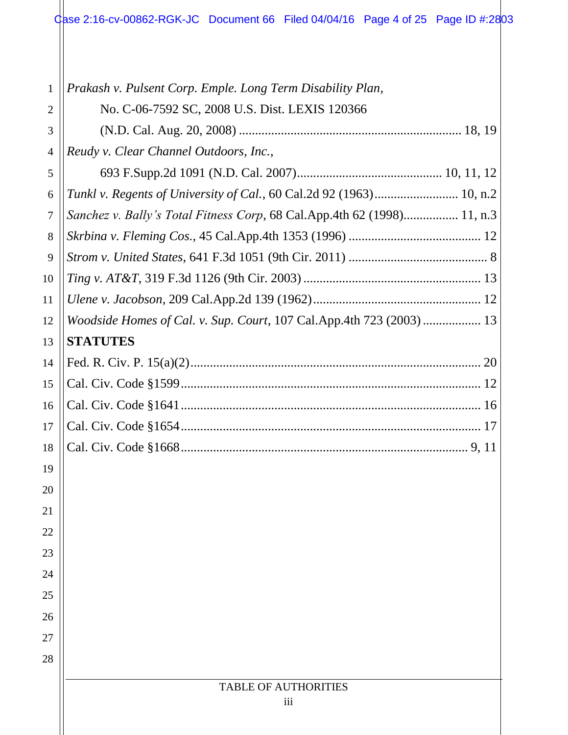Case 2:16-cv-00862-RGK-JC Document 66 Filed 04/04/16 Page 4 of 25 Page ID #:2803

| $\mathbf{1}$ | Prakash v. Pulsent Corp. Emple. Long Term Disability Plan,              |
|--------------|-------------------------------------------------------------------------|
| 2            | No. C-06-7592 SC, 2008 U.S. Dist. LEXIS 120366                          |
| 3            |                                                                         |
| 4            | Reudy v. Clear Channel Outdoors, Inc.,                                  |
| 5            |                                                                         |
| 6            | Tunkl v. Regents of University of Cal., 60 Cal.2d 92 (1963) 10, n.2     |
| 7            | Sanchez v. Bally's Total Fitness Corp, 68 Cal.App.4th 62 (1998) 11, n.3 |
| 8            |                                                                         |
| 9            |                                                                         |
| 10           |                                                                         |
| 11           |                                                                         |
| 12           | Woodside Homes of Cal. v. Sup. Court, 107 Cal.App.4th 723 (2003)  13    |
| 13           | <b>STATUTES</b>                                                         |
| 14           |                                                                         |
| 15           |                                                                         |
| 16           |                                                                         |
| 17           |                                                                         |
| 18           |                                                                         |
| 19           |                                                                         |
| 20           |                                                                         |
| 21           |                                                                         |
| 22           |                                                                         |
| 23           |                                                                         |
| 24           |                                                                         |
| 25           |                                                                         |
| 26           |                                                                         |
| 27           |                                                                         |
| 28           |                                                                         |
|              | <b>TABLE OF AUTHORITIES</b>                                             |
|              | iii                                                                     |
|              |                                                                         |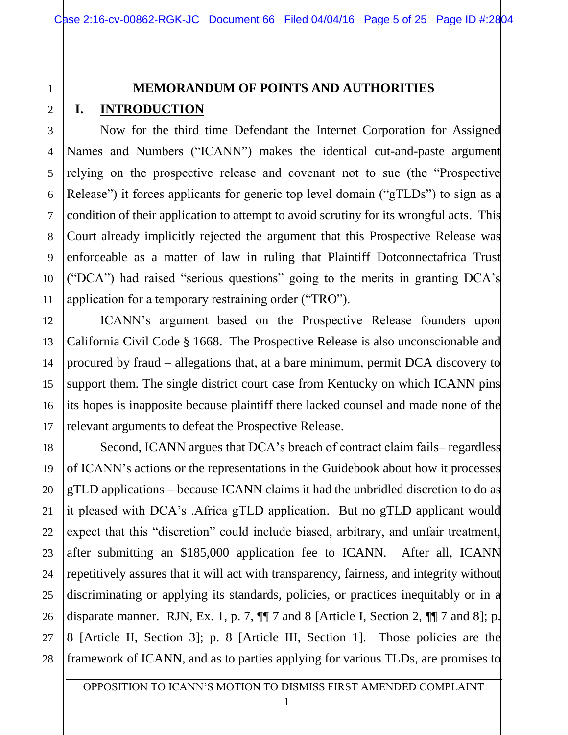# **MEMORANDUM OF POINTS AND AUTHORITIES I. INTRODUCTION**

Now for the third time Defendant the Internet Corporation for Assigned Names and Numbers ("ICANN") makes the identical cut-and-paste argument relying on the prospective release and covenant not to sue (the "Prospective Release") it forces applicants for generic top level domain ("gTLDs") to sign as a condition of their application to attempt to avoid scrutiny for its wrongful acts. This Court already implicitly rejected the argument that this Prospective Release was enforceable as a matter of law in ruling that Plaintiff Dotconnectafrica Trust ("DCA") had raised "serious questions" going to the merits in granting DCA's application for a temporary restraining order ("TRO").

ICANN's argument based on the Prospective Release founders upon California Civil Code § 1668. The Prospective Release is also unconscionable and procured by fraud – allegations that, at a bare minimum, permit DCA discovery to support them. The single district court case from Kentucky on which ICANN pins its hopes is inapposite because plaintiff there lacked counsel and made none of the relevant arguments to defeat the Prospective Release.

Second, ICANN argues that DCA's breach of contract claim fails– regardless of ICANN's actions or the representations in the Guidebook about how it processes gTLD applications – because ICANN claims it had the unbridled discretion to do as it pleased with DCA's .Africa gTLD application. But no gTLD applicant would expect that this "discretion" could include biased, arbitrary, and unfair treatment, after submitting an \$185,000 application fee to ICANN. After all, ICANN repetitively assures that it will act with transparency, fairness, and integrity without discriminating or applying its standards, policies, or practices inequitably or in a disparate manner. RJN, Ex. 1, p. 7, ¶¶ 7 and 8 [Article I, Section 2, ¶¶ 7 and 8]; p. 8 [Article II, Section 3]; p. 8 [Article III, Section 1]. Those policies are the framework of ICANN, and as to parties applying for various TLDs, are promises to

1

2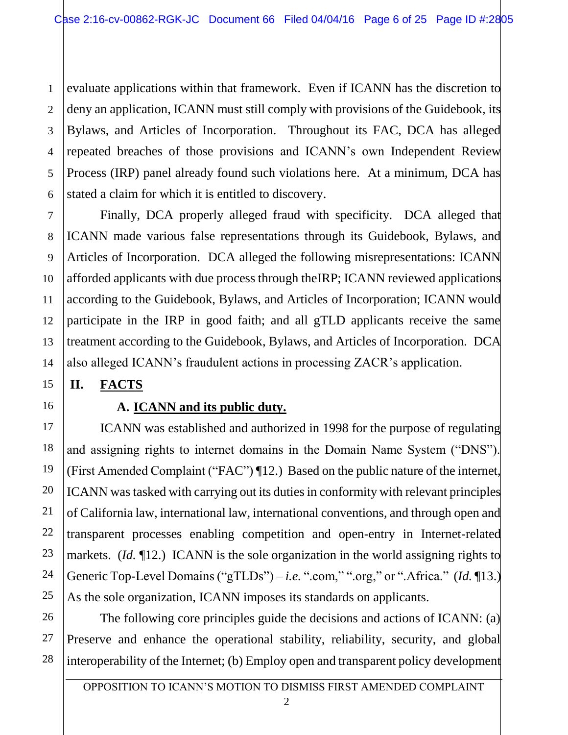1 2 3 4 5 6 evaluate applications within that framework. Even if ICANN has the discretion to deny an application, ICANN must still comply with provisions of the Guidebook, its Bylaws, and Articles of Incorporation. Throughout its FAC, DCA has alleged repeated breaches of those provisions and ICANN's own Independent Review Process (IRP) panel already found such violations here. At a minimum, DCA has stated a claim for which it is entitled to discovery.

Finally, DCA properly alleged fraud with specificity. DCA alleged that ICANN made various false representations through its Guidebook, Bylaws, and Articles of Incorporation. DCA alleged the following misrepresentations: ICANN afforded applicants with due process through theIRP; ICANN reviewed applications according to the Guidebook, Bylaws, and Articles of Incorporation; ICANN would participate in the IRP in good faith; and all gTLD applicants receive the same treatment according to the Guidebook, Bylaws, and Articles of Incorporation. DCA also alleged ICANN's fraudulent actions in processing ZACR's application.

## **II. FACTS**

## **A. ICANN and its public duty.**

ICANN was established and authorized in 1998 for the purpose of regulating and assigning rights to internet domains in the Domain Name System ("DNS"). (First Amended Complaint ("FAC") ¶12.) Based on the public nature of the internet, ICANN was tasked with carrying out its duties in conformity with relevant principles of California law, international law, international conventions, and through open and transparent processes enabling competition and open-entry in Internet-related markets. (*Id.* ¶12.) ICANN is the sole organization in the world assigning rights to Generic Top-Level Domains ("gTLDs") – *i.e.* ".com," ".org," or ".Africa." (*Id.* ¶13.) As the sole organization, ICANN imposes its standards on applicants.

The following core principles guide the decisions and actions of ICANN: (a) Preserve and enhance the operational stability, reliability, security, and global interoperability of the Internet; (b) Employ open and transparent policy development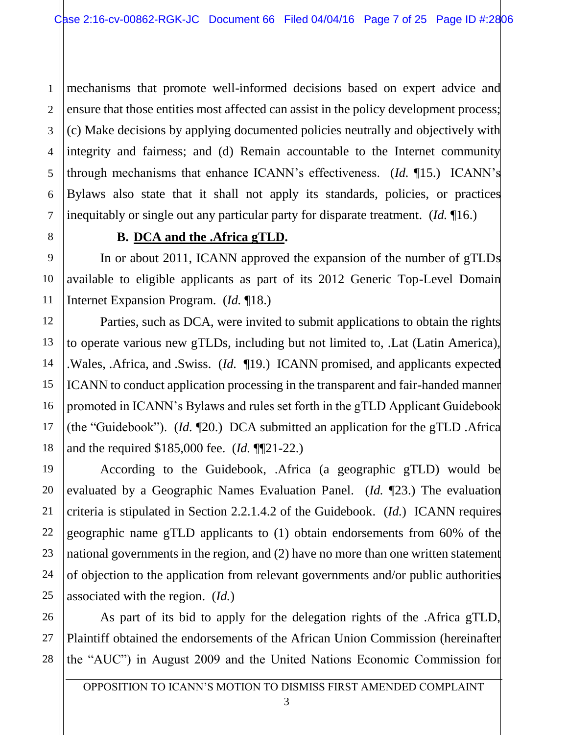1 2 3 4 5 6 7 mechanisms that promote well-informed decisions based on expert advice and ensure that those entities most affected can assist in the policy development process; (c) Make decisions by applying documented policies neutrally and objectively with integrity and fairness; and (d) Remain accountable to the Internet community through mechanisms that enhance ICANN's effectiveness. (*Id.* ¶15.) ICANN's Bylaws also state that it shall not apply its standards, policies, or practices inequitably or single out any particular party for disparate treatment. (*Id.* ¶16.)

## **B. DCA and the .Africa gTLD.**

In or about 2011, ICANN approved the expansion of the number of gTLDs available to eligible applicants as part of its 2012 Generic Top-Level Domain Internet Expansion Program. (*Id.* ¶18.)

Parties, such as DCA, were invited to submit applications to obtain the rights to operate various new gTLDs, including but not limited to, .Lat (Latin America), .Wales, .Africa, and .Swiss. (*Id.* ¶19.) ICANN promised, and applicants expected ICANN to conduct application processing in the transparent and fair-handed manner promoted in ICANN's Bylaws and rules set forth in the gTLD Applicant Guidebook (the "Guidebook"). (*Id.* ¶20.) DCA submitted an application for the gTLD .Africa and the required \$185,000 fee. (*Id.* ¶¶21-22.)

According to the Guidebook, .Africa (a geographic gTLD) would be evaluated by a Geographic Names Evaluation Panel. (*Id.* ¶23.) The evaluation criteria is stipulated in Section 2.2.1.4.2 of the Guidebook. (*Id.*) ICANN requires geographic name gTLD applicants to (1) obtain endorsements from 60% of the national governments in the region, and (2) have no more than one written statement of objection to the application from relevant governments and/or public authorities associated with the region. (*Id.*)

As part of its bid to apply for the delegation rights of the .Africa gTLD, Plaintiff obtained the endorsements of the African Union Commission (hereinafter the "AUC") in August 2009 and the United Nations Economic Commission for

8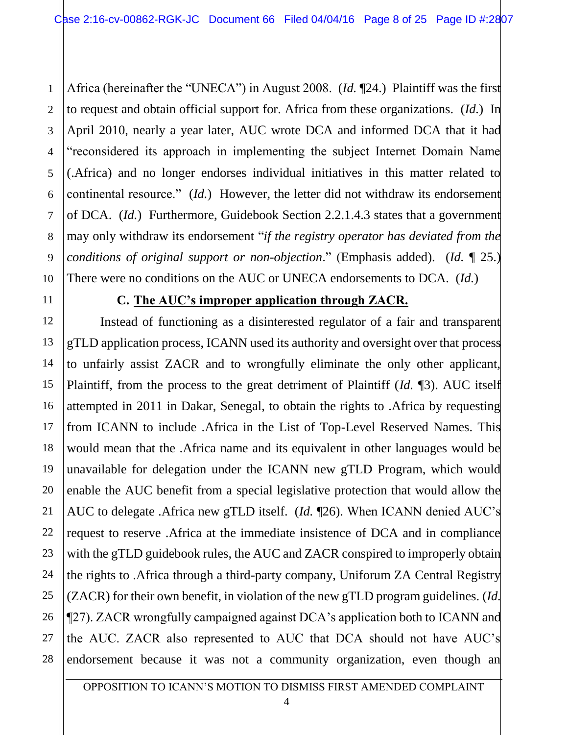1 2 3 4 5 6 7 8 9 10 Africa (hereinafter the "UNECA") in August 2008. (*Id.* ¶24.) Plaintiff was the first to request and obtain official support for. Africa from these organizations. (*Id.*) In April 2010, nearly a year later, AUC wrote DCA and informed DCA that it had "reconsidered its approach in implementing the subject Internet Domain Name (.Africa) and no longer endorses individual initiatives in this matter related to continental resource." (*Id.*) However, the letter did not withdraw its endorsement of DCA. (*Id.*) Furthermore, Guidebook Section 2.2.1.4.3 states that a government may only withdraw its endorsement "*if the registry operator has deviated from the conditions of original support or non-objection*." (Emphasis added). (*Id.* ¶ 25.) There were no conditions on the AUC or UNECA endorsements to DCA. (*Id.*)

11

12

13

14

15

16

17

18

19

20

21

22

23

24

25

26

27

28

### **C. The AUC's improper application through ZACR.**

Instead of functioning as a disinterested regulator of a fair and transparent gTLD application process, ICANN used its authority and oversight over that process to unfairly assist ZACR and to wrongfully eliminate the only other applicant, Plaintiff, from the process to the great detriment of Plaintiff (*Id.* ¶3). AUC itself attempted in 2011 in Dakar, Senegal, to obtain the rights to .Africa by requesting from ICANN to include .Africa in the List of Top-Level Reserved Names. This would mean that the .Africa name and its equivalent in other languages would be unavailable for delegation under the ICANN new gTLD Program, which would enable the AUC benefit from a special legislative protection that would allow the AUC to delegate .Africa new gTLD itself. (*Id.* ¶26). When ICANN denied AUC's request to reserve .Africa at the immediate insistence of DCA and in compliance with the gTLD guidebook rules, the AUC and ZACR conspired to improperly obtain the rights to .Africa through a third-party company, Uniforum ZA Central Registry (ZACR) for their own benefit, in violation of the new gTLD program guidelines. (*Id.* ¶27). ZACR wrongfully campaigned against DCA's application both to ICANN and the AUC. ZACR also represented to AUC that DCA should not have AUC's endorsement because it was not a community organization, even though an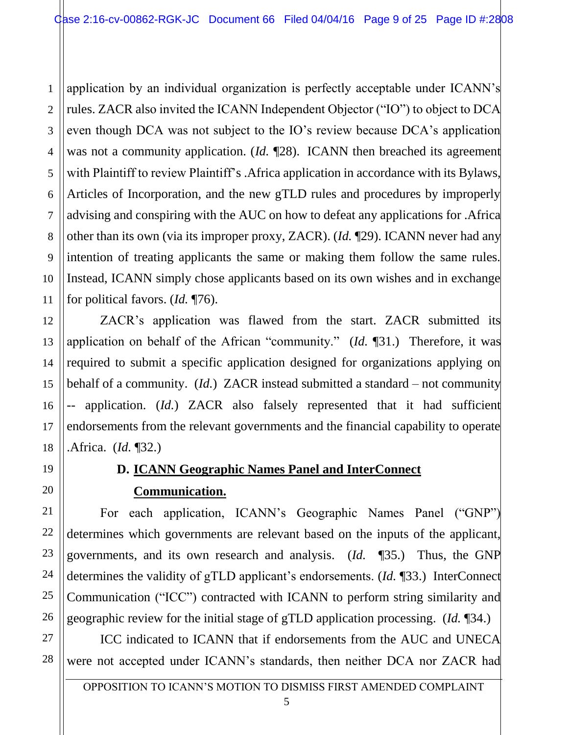1 2 3 4 5 6 7 8 9 10 11 application by an individual organization is perfectly acceptable under ICANN's rules. ZACR also invited the ICANN Independent Objector ("IO") to object to DCA even though DCA was not subject to the IO's review because DCA's application was not a community application. (*Id.* ¶28). ICANN then breached its agreement with Plaintiff to review Plaintiff's . Africa application in accordance with its Bylaws, Articles of Incorporation, and the new gTLD rules and procedures by improperly advising and conspiring with the AUC on how to defeat any applications for .Africa other than its own (via its improper proxy, ZACR). (*Id.* ¶29). ICANN never had any intention of treating applicants the same or making them follow the same rules. Instead, ICANN simply chose applicants based on its own wishes and in exchange for political favors. (*Id.* ¶76).

ZACR's application was flawed from the start. ZACR submitted its application on behalf of the African "community." (*Id.* ¶31.) Therefore, it was required to submit a specific application designed for organizations applying on behalf of a community. (*Id.*) ZACR instead submitted a standard – not community -- application. (*Id.*) ZACR also falsely represented that it had sufficient endorsements from the relevant governments and the financial capability to operate .Africa. (*Id.* ¶32.)

## **D. ICANN Geographic Names Panel and InterConnect**

### **Communication.**

For each application, ICANN's Geographic Names Panel ("GNP") determines which governments are relevant based on the inputs of the applicant, governments, and its own research and analysis. (*Id.* ¶35.) Thus, the GNP determines the validity of gTLD applicant's endorsements. (*Id.* ¶33.) InterConnect Communication ("ICC") contracted with ICANN to perform string similarity and geographic review for the initial stage of gTLD application processing. (*Id.* ¶34.)

ICC indicated to ICANN that if endorsements from the AUC and UNECA were not accepted under ICANN's standards, then neither DCA nor ZACR had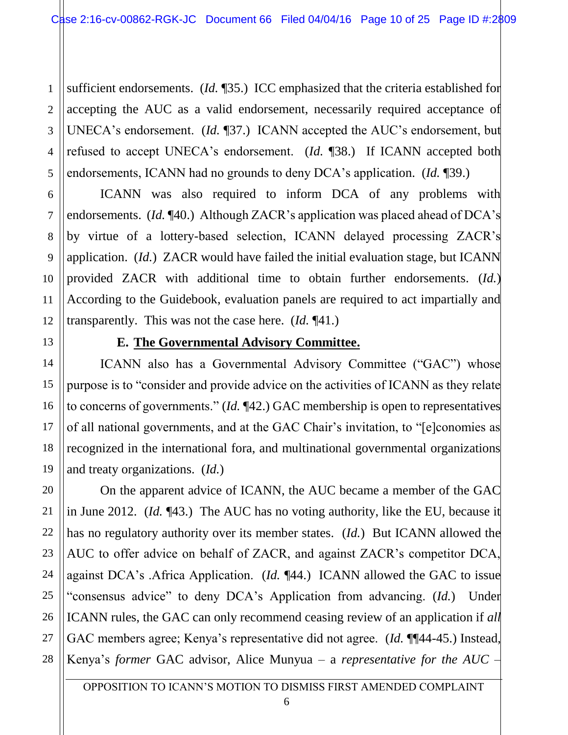1 2 3 4 5 sufficient endorsements. (*Id.* ¶35.) ICC emphasized that the criteria established for accepting the AUC as a valid endorsement, necessarily required acceptance of UNECA's endorsement. (*Id.* ¶37.) ICANN accepted the AUC's endorsement, but refused to accept UNECA's endorsement. (*Id.* ¶38.) If ICANN accepted both endorsements, ICANN had no grounds to deny DCA's application. (*Id.* ¶39.)

ICANN was also required to inform DCA of any problems with endorsements. (*Id.* ¶40.) Although ZACR's application was placed ahead of DCA's by virtue of a lottery-based selection, ICANN delayed processing ZACR's application. (*Id.*) ZACR would have failed the initial evaluation stage, but ICANN provided ZACR with additional time to obtain further endorsements. (*Id.*) According to the Guidebook, evaluation panels are required to act impartially and transparently. This was not the case here. (*Id.* ¶41.)

6

7

8

9

10

11

12

13

14

15

16

17

18

19

20

21

22

23

24

25

26

27

28

#### **E. The Governmental Advisory Committee.**

ICANN also has a Governmental Advisory Committee ("GAC") whose purpose is to "consider and provide advice on the activities of ICANN as they relate to concerns of governments." (*Id.* ¶42.) GAC membership is open to representatives of all national governments, and at the GAC Chair's invitation, to "[e]conomies as recognized in the international fora, and multinational governmental organizations and treaty organizations. (*Id.*)

On the apparent advice of ICANN, the AUC became a member of the GAC in June 2012. (*Id.* ¶43.) The AUC has no voting authority, like the EU, because it has no regulatory authority over its member states. (*Id.*) But ICANN allowed the AUC to offer advice on behalf of ZACR, and against ZACR's competitor DCA, against DCA's .Africa Application. (*Id.* ¶44.) ICANN allowed the GAC to issue "consensus advice" to deny DCA's Application from advancing. (*Id.*) Under ICANN rules, the GAC can only recommend ceasing review of an application if *all* GAC members agree; Kenya's representative did not agree. (*Id.* ¶¶44-45.) Instead, Kenya's *former* GAC advisor, Alice Munyua – a *representative for the AUC* –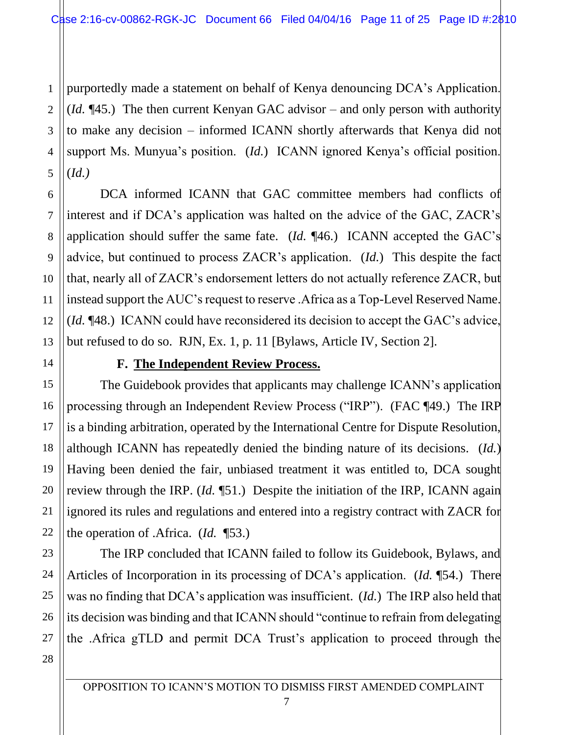1 2 3 4 5 purportedly made a statement on behalf of Kenya denouncing DCA's Application. (*Id.* ¶45.) The then current Kenyan GAC advisor – and only person with authority to make any decision – informed ICANN shortly afterwards that Kenya did not support Ms. Munyua's position. (*Id.*) ICANN ignored Kenya's official position. (*Id.)*

DCA informed ICANN that GAC committee members had conflicts of interest and if DCA's application was halted on the advice of the GAC, ZACR's application should suffer the same fate. (*Id.* ¶46.) ICANN accepted the GAC's advice, but continued to process ZACR's application. (*Id.*) This despite the fact that, nearly all of ZACR's endorsement letters do not actually reference ZACR, but instead support the AUC's request to reserve .Africa as a Top-Level Reserved Name. (*Id.* ¶48.) ICANN could have reconsidered its decision to accept the GAC's advice, but refused to do so. RJN, Ex. 1, p. 11 [Bylaws, Article IV, Section 2].

#### **F. The Independent Review Process.**

The Guidebook provides that applicants may challenge ICANN's application processing through an Independent Review Process ("IRP"). (FAC ¶49.) The IRP is a binding arbitration, operated by the International Centre for Dispute Resolution, although ICANN has repeatedly denied the binding nature of its decisions. (*Id.*) Having been denied the fair, unbiased treatment it was entitled to, DCA sought review through the IRP. (*Id.* ¶51.) Despite the initiation of the IRP, ICANN again ignored its rules and regulations and entered into a registry contract with ZACR for the operation of .Africa. (*Id.* ¶53.)

The IRP concluded that ICANN failed to follow its Guidebook, Bylaws, and Articles of Incorporation in its processing of DCA's application. (*Id.* ¶54.) There was no finding that DCA's application was insufficient. (*Id.*) The IRP also held that its decision was binding and that ICANN should "continue to refrain from delegating the .Africa gTLD and permit DCA Trust's application to proceed through the

6

7

8

9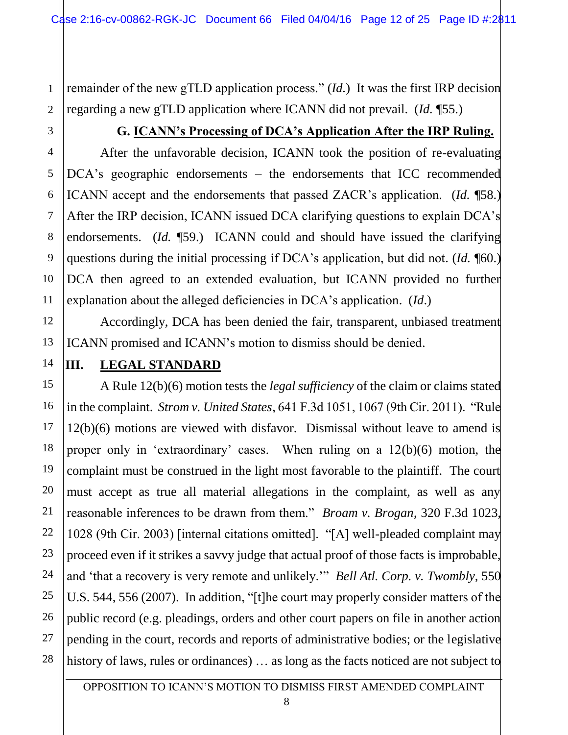remainder of the new gTLD application process." (*Id.*) It was the first IRP decision regarding a new gTLD application where ICANN did not prevail. (*Id.* ¶55.)

### **G. ICANN's Processing of DCA's Application After the IRP Ruling.**

After the unfavorable decision, ICANN took the position of re-evaluating DCA's geographic endorsements – the endorsements that ICC recommended ICANN accept and the endorsements that passed ZACR's application. (*Id.* ¶58.) After the IRP decision, ICANN issued DCA clarifying questions to explain DCA's endorsements. (*Id.* ¶59.) ICANN could and should have issued the clarifying questions during the initial processing if DCA's application, but did not. (*Id.* ¶60.) DCA then agreed to an extended evaluation, but ICANN provided no further explanation about the alleged deficiencies in DCA's application. (*Id*.)

Accordingly, DCA has been denied the fair, transparent, unbiased treatment ICANN promised and ICANN's motion to dismiss should be denied.

1

2

3

4

5

6

7

8

9

10

11

12

### **III. LEGAL STANDARD**

A Rule 12(b)(6) motion tests the *legal sufficiency* of the claim or claims stated in the complaint. *Strom v. United States*, 641 F.3d 1051, 1067 (9th Cir. 2011). "Rule 12(b)(6) motions are viewed with disfavor. Dismissal without leave to amend is proper only in 'extraordinary' cases. When ruling on a 12(b)(6) motion, the complaint must be construed in the light most favorable to the plaintiff. The court must accept as true all material allegations in the complaint, as well as any reasonable inferences to be drawn from them." *Broam v. Brogan*, 320 F.3d 1023, 1028 (9th Cir. 2003) [internal citations omitted]. "[A] well-pleaded complaint may proceed even if it strikes a savvy judge that actual proof of those facts is improbable, and 'that a recovery is very remote and unlikely.'" *Bell Atl. Corp. v. Twombly,* 550 U.S. 544, 556 (2007). In addition, "[t]he court may properly consider matters of the public record (e.g. pleadings, orders and other court papers on file in another action pending in the court, records and reports of administrative bodies; or the legislative history of laws, rules or ordinances) ... as long as the facts noticed are not subject to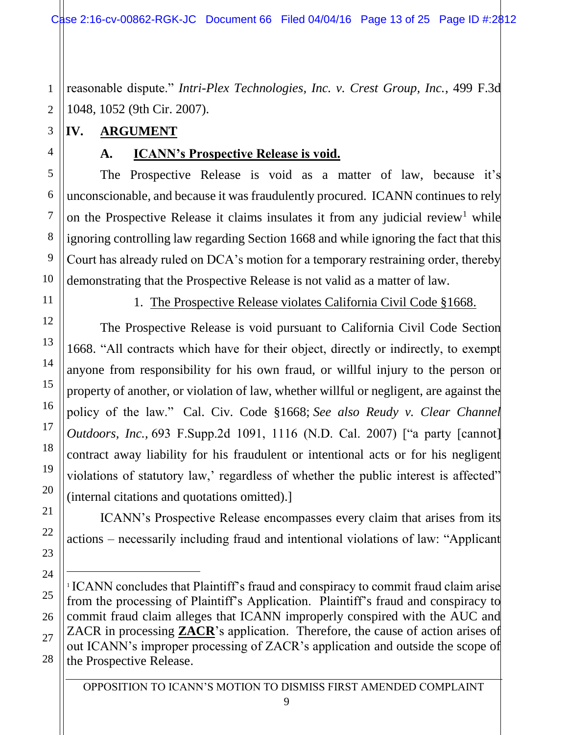Case 2:16-cv-00862-RGK-JC Document 66 Filed 04/04/16 Page 13 of 25 Page ID #:2812

1 2 reasonable dispute." *Intri-Plex Technologies, Inc. v. Crest Group, Inc.*, 499 F.3d 1048, 1052 (9th Cir. 2007).

## **IV. ARGUMENT**

3

4

5

6

7

8

## **A. ICANN's Prospective Release is void.**

The Prospective Release is void as a matter of law, because it's unconscionable, and because it was fraudulently procured. ICANN continues to rely on the Prospective Release it claims insulates it from any judicial review<sup>1</sup> while ignoring controlling law regarding Section 1668 and while ignoring the fact that this Court has already ruled on DCA's motion for a temporary restraining order, thereby demonstrating that the Prospective Release is not valid as a matter of law.

1. The Prospective Release violates California Civil Code §1668.

The Prospective Release is void pursuant to California Civil Code Section 1668. "All contracts which have for their object, directly or indirectly, to exempt anyone from responsibility for his own fraud, or willful injury to the person or property of another, or violation of law, whether willful or negligent, are against the policy of the law." Cal. Civ. Code §1668; *See also Reudy v. Clear Channel Outdoors, Inc.*, 693 F.Supp.2d 1091, 1116 (N.D. Cal. 2007) ["a party [cannot] contract away liability for his fraudulent or intentional acts or for his negligent violations of statutory law,' regardless of whether the public interest is affected" (internal citations and quotations omitted).]

ICANN's Prospective Release encompasses every claim that arises from its actions – necessarily including fraud and intentional violations of law: "Applicant

 $\overline{a}$ 

<sup>1</sup> ICANN concludes that Plaintiff's fraud and conspiracy to commit fraud claim arise from the processing of Plaintiff's Application. Plaintiff's fraud and conspiracy to commit fraud claim alleges that ICANN improperly conspired with the AUC and ZACR in processing **ZACR**'s application. Therefore, the cause of action arises of out ICANN's improper processing of ZACR's application and outside the scope of the Prospective Release.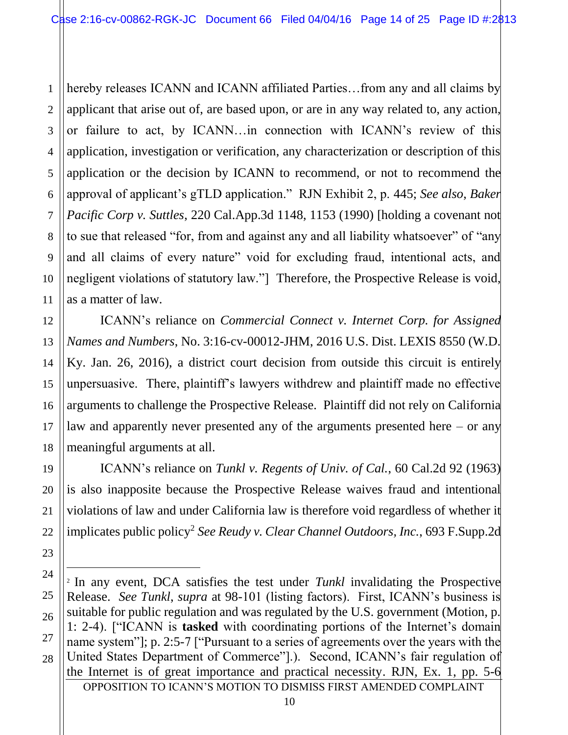1 2 3 4 5 6 7 8 9 10 11 hereby releases ICANN and ICANN affiliated Parties...from any and all claims by applicant that arise out of, are based upon, or are in any way related to, any action, or failure to act, by ICANN…in connection with ICANN's review of this application, investigation or verification, any characterization or description of this application or the decision by ICANN to recommend, or not to recommend the approval of applicant's gTLD application." RJN Exhibit 2, p. 445; *See also*, *Baker Pacific Corp v. Suttles*, 220 Cal.App.3d 1148, 1153 (1990) [holding a covenant not to sue that released "for, from and against any and all liability whatsoever" of "any and all claims of every nature" void for excluding fraud, intentional acts, and negligent violations of statutory law."] Therefore, the Prospective Release is void, as a matter of law.

ICANN's reliance on *Commercial Connect v. Internet Corp. for Assigned Names and Numbers*, No. 3:16-cv-00012-JHM, 2016 U.S. Dist. LEXIS 8550 (W.D. Ky. Jan. 26, 2016), a district court decision from outside this circuit is entirely unpersuasive. There, plaintiff's lawyers withdrew and plaintiff made no effective arguments to challenge the Prospective Release. Plaintiff did not rely on California law and apparently never presented any of the arguments presented here – or any meaningful arguments at all.

ICANN's reliance on *Tunkl v. Regents of Univ. of Cal.*, 60 Cal.2d 92 (1963) is also inapposite because the Prospective Release waives fraud and intentional violations of law and under California law is therefore void regardless of whether it implicates public policy<sup>2</sup> *See Reudy v. Clear Channel Outdoors, Inc.*, 693 F.Supp.2d

12

13

14

15

16

17

18

19

20

21

22

23

24

 $\overline{a}$ 

25

26

27

OPPOSITION TO ICANN'S MOTION TO DISMISS FIRST AMENDED COMPLAINT <sup>2</sup> In any event, DCA satisfies the test under *Tunkl* invalidating the Prospective Release. *See Tunkl*, *supra* at 98-101 (listing factors). First, ICANN's business is suitable for public regulation and was regulated by the U.S. government (Motion, p. 1: 2-4). ["ICANN is **tasked** with coordinating portions of the Internet's domain name system"]; p. 2:5-7 ["Pursuant to a series of agreements over the years with the United States Department of Commerce"].). Second, ICANN's fair regulation of the Internet is of great importance and practical necessity. RJN, Ex. 1, pp. 5-6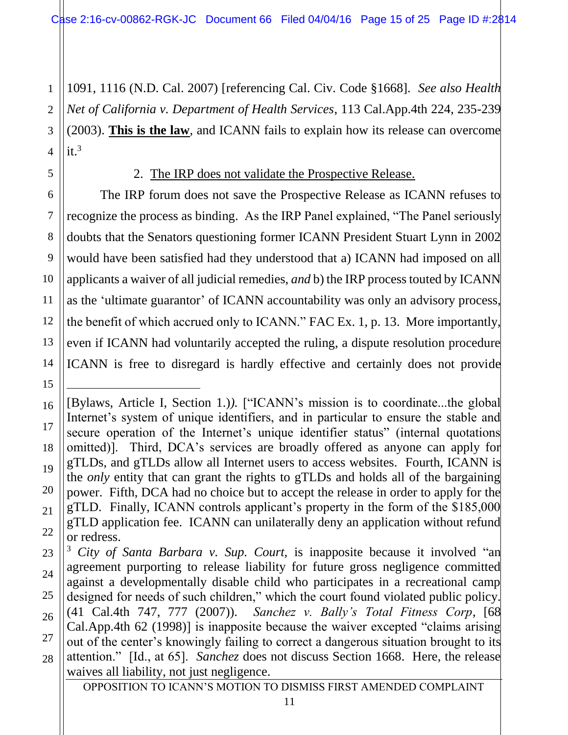1 2 3 4 1091, 1116 (N.D. Cal. 2007) [referencing Cal. Civ. Code §1668]. *See also Health Net of California v. Department of Health Services*, 113 Cal.App.4th 224, 235-239 (2003). **This is the law**, and ICANN fails to explain how its release can overcome it. 3

2. The IRP does not validate the Prospective Release.

5

6

7

8

9

10

11

12

13

14

15

 $\overline{a}$ 

The IRP forum does not save the Prospective Release as ICANN refuses to recognize the process as binding. As the IRP Panel explained, "The Panel seriously doubts that the Senators questioning former ICANN President Stuart Lynn in 2002 would have been satisfied had they understood that a) ICANN had imposed on all applicants a waiver of all judicial remedies, *and* b) the IRP process touted by ICANN as the 'ultimate guarantor' of ICANN accountability was only an advisory process, the benefit of which accrued only to ICANN." FAC Ex. 1, p. 13. More importantly, even if ICANN had voluntarily accepted the ruling, a dispute resolution procedure ICANN is free to disregard is hardly effective and certainly does not provide

<sup>16</sup> 17 18 19 20 21 22 [Bylaws, Article I, Section 1.)*).* ["ICANN's mission is to coordinate...the global Internet's system of unique identifiers, and in particular to ensure the stable and secure operation of the Internet's unique identifier status" (internal quotations omitted)]. Third, DCA's services are broadly offered as anyone can apply for gTLDs, and gTLDs allow all Internet users to access websites. Fourth, ICANN is the *only* entity that can grant the rights to gTLDs and holds all of the bargaining power. Fifth, DCA had no choice but to accept the release in order to apply for the gTLD. Finally, ICANN controls applicant's property in the form of the \$185,000 gTLD application fee. ICANN can unilaterally deny an application without refund or redress.

<sup>23</sup> 24 25 26 27 28 <sup>3</sup> *City of Santa Barbara v. Sup. Court,* is inapposite because it involved "an agreement purporting to release liability for future gross negligence committed against a developmentally disable child who participates in a recreational camp designed for needs of such children," which the court found violated public policy. (41 Cal.4th 747, 777 (2007)). *Sanchez v. Bally's Total Fitness Corp*, [68 Cal.App.4th 62 (1998)] is inapposite because the waiver excepted "claims arising out of the center's knowingly failing to correct a dangerous situation brought to its attention." [Id., at 65]. *Sanchez* does not discuss Section 1668. Here, the release waives all liability, not just negligence.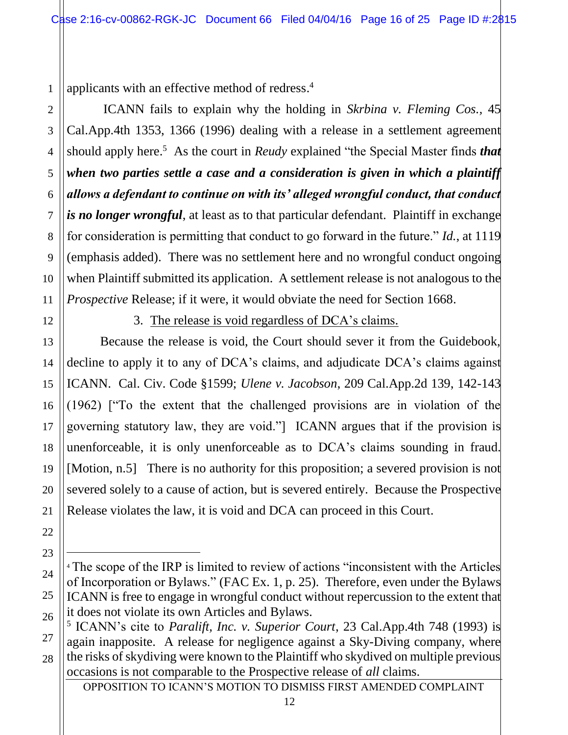1 applicants with an effective method of redress. 4

ICANN fails to explain why the holding in *Skrbina v. Fleming Cos.,* 45 Cal.App.4th 1353, 1366 (1996) dealing with a release in a settlement agreement should apply here.<sup>5</sup> As the court in *Reudy* explained "the Special Master finds *that when two parties settle a case and a consideration is given in which a plaintiff allows a defendant to continue on with its' alleged wrongful conduct, that conduct is no longer wrongful*, at least as to that particular defendant. Plaintiff in exchange for consideration is permitting that conduct to go forward in the future." *Id.*, at 1119 (emphasis added). There was no settlement here and no wrongful conduct ongoing when Plaintiff submitted its application. A settlement release is not analogous to the *Prospective* Release; if it were, it would obviate the need for Section 1668.

12

2

3

4

5

6

7

8

9

10

11

13

14

15

16

17

18

19

20

21

22

23

 $\overline{a}$ 

24

25

26

## 3. The release is void regardless of DCA's claims.

Because the release is void, the Court should sever it from the Guidebook, decline to apply it to any of DCA's claims, and adjudicate DCA's claims against ICANN. Cal. Civ. Code §1599; *Ulene v. Jacobson*, 209 Cal.App.2d 139, 142-143 (1962) ["To the extent that the challenged provisions are in violation of the governing statutory law, they are void."] ICANN argues that if the provision is unenforceable, it is only unenforceable as to DCA's claims sounding in fraud. [Motion, n.5] There is no authority for this proposition; a severed provision is not severed solely to a cause of action, but is severed entirely. Because the Prospective Release violates the law, it is void and DCA can proceed in this Court.

OPPOSITION TO ICANN'S MOTION TO DISMISS FIRST AMENDED COMPLAINT

<sup>&</sup>lt;sup>4</sup> The scope of the IRP is limited to review of actions "inconsistent with the Articles of Incorporation or Bylaws." (FAC Ex. 1, p. 25). Therefore, even under the Bylaws ICANN is free to engage in wrongful conduct without repercussion to the extent that it does not violate its own Articles and Bylaws.

<sup>27</sup> 28 5 ICANN's cite to *Paralift, Inc. v. Superior Court*, 23 Cal.App.4th 748 (1993) is again inapposite. A release for negligence against a Sky-Diving company, where the risks of skydiving were known to the Plaintiff who skydived on multiple previous occasions is not comparable to the Prospective release of *all* claims.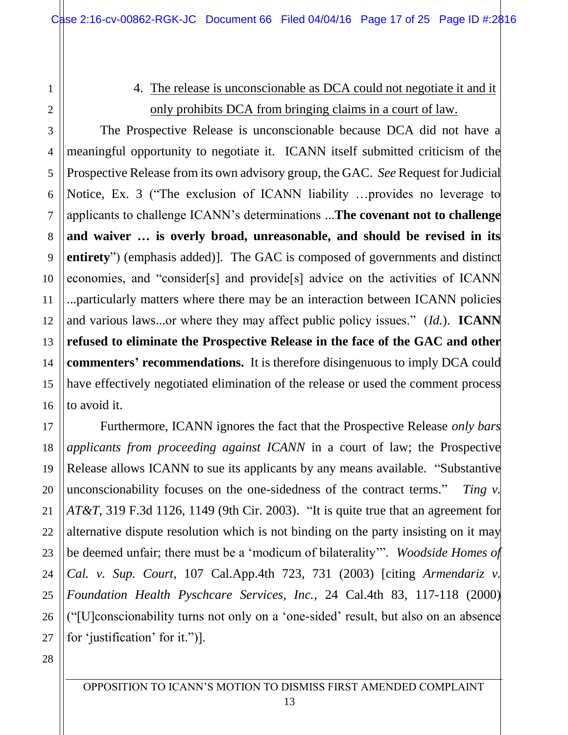1

2

3

4

5

6

7

8

9

10

11

12

13

14

15

16

17

18

19

20

21

22

23

24

25

26

27

# 4. The release is unconscionable as DCA could not negotiate it and it only prohibits DCA from bringing claims in a court of law.

The Prospective Release is unconscionable because DCA did not have a meaningful opportunity to negotiate it. ICANN itself submitted criticism of the Prospective Release from its own advisory group, the GAC. *See* Request for Judicial Notice, Ex. 3 ("The exclusion of ICANN liability …provides no leverage to applicants to challenge ICANN's determinations ...**The covenant not to challenge**  and waiver ... is overly broad, unreasonable, and should be revised in its **entirety**") (emphasis added)]. The GAC is composed of governments and distinct economies, and "consider[s] and provide[s] advice on the activities of ICANN ...particularly matters where there may be an interaction between ICANN policies and various laws...or where they may affect public policy issues." (*Id.*). **ICANN refused to eliminate the Prospective Release in the face of the GAC and other commenters' recommendations.** It is therefore disingenuous to imply DCA could have effectively negotiated elimination of the release or used the comment process to avoid it.

Furthermore, ICANN ignores the fact that the Prospective Release *only bars applicants from proceeding against ICANN* in a court of law; the Prospective Release allows ICANN to sue its applicants by any means available. "Substantive unconscionability focuses on the one-sidedness of the contract terms." *Ting v. AT&T*, 319 F.3d 1126, 1149 (9th Cir. 2003). "It is quite true that an agreement for alternative dispute resolution which is not binding on the party insisting on it may be deemed unfair; there must be a 'modicum of bilaterality'". *Woodside Homes of Cal. v. Sup. Court*, 107 Cal.App.4th 723, 731 (2003) [citing *Armendariz v. Foundation Health Pyschcare Services, Inc.*, 24 Cal.4th 83, 117-118 (2000) ("[U]conscionability turns not only on a 'one-sided' result, but also on an absence for 'justification' for it.")].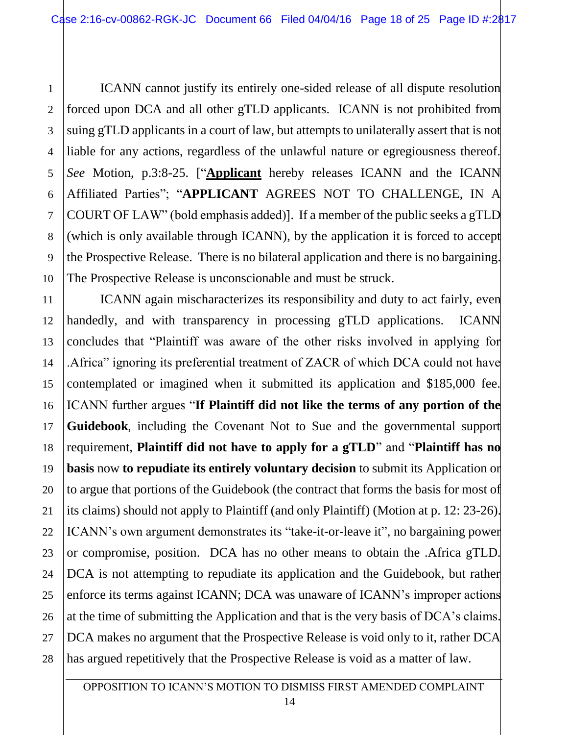ICANN cannot justify its entirely one-sided release of all dispute resolution forced upon DCA and all other gTLD applicants. ICANN is not prohibited from suing gTLD applicants in a court of law, but attempts to unilaterally assert that is not liable for any actions, regardless of the unlawful nature or egregiousness thereof. *See* Motion, p.3:8-25. ["**Applicant** hereby releases ICANN and the ICANN Affiliated Parties"; "**APPLICANT** AGREES NOT TO CHALLENGE, IN A COURT OF LAW" (bold emphasis added)]. If a member of the public seeks a gTLD (which is only available through ICANN), by the application it is forced to accept the Prospective Release. There is no bilateral application and there is no bargaining. The Prospective Release is unconscionable and must be struck.

1

2

3

4

5

6

7

8

9

10

11 12 13 14 15 16 17 18 19 20 21 22 23 24 25 26 27 28 ICANN again mischaracterizes its responsibility and duty to act fairly, even handedly, and with transparency in processing gTLD applications. ICANN concludes that "Plaintiff was aware of the other risks involved in applying for .Africa" ignoring its preferential treatment of ZACR of which DCA could not have contemplated or imagined when it submitted its application and \$185,000 fee. ICANN further argues "If Plaintiff did not like the terms of any portion of the **Guidebook**, including the Covenant Not to Sue and the governmental support requirement, **Plaintiff did not have to apply for a gTLD**" and "**Plaintiff has no basis** now **to repudiate its entirely voluntary decision** to submit its Application or to argue that portions of the Guidebook (the contract that forms the basis for most of its claims) should not apply to Plaintiff (and only Plaintiff) (Motion at p. 12: 23-26). ICANN's own argument demonstrates its "take-it-or-leave it", no bargaining power or compromise, position. DCA has no other means to obtain the .Africa gTLD. DCA is not attempting to repudiate its application and the Guidebook, but rather enforce its terms against ICANN; DCA was unaware of ICANN's improper actions at the time of submitting the Application and that is the very basis of DCA's claims. DCA makes no argument that the Prospective Release is void only to it, rather DCA has argued repetitively that the Prospective Release is void as a matter of law.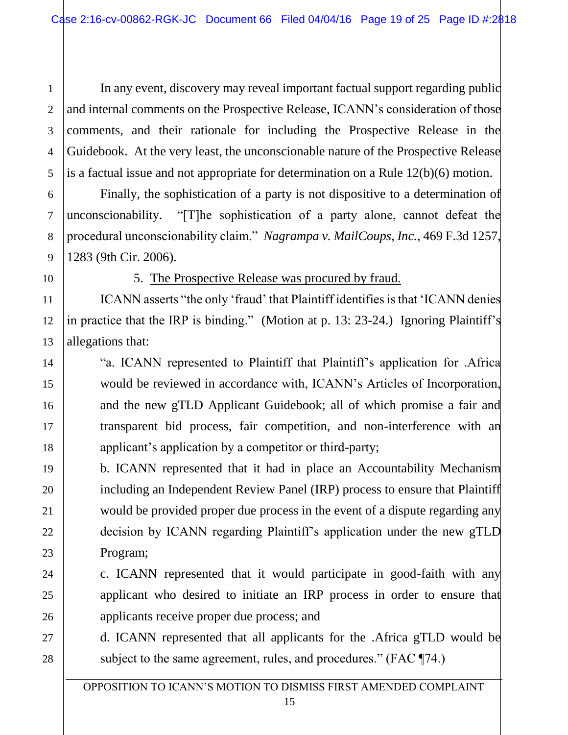2 3 4 5 In any event, discovery may reveal important factual support regarding public and internal comments on the Prospective Release, ICANN's consideration of those comments, and their rationale for including the Prospective Release in the Guidebook. At the very least, the unconscionable nature of the Prospective Release is a factual issue and not appropriate for determination on a Rule 12(b)(6) motion.

Finally, the sophistication of a party is not dispositive to a determination of unconscionability. "[T]he sophistication of a party alone, cannot defeat the procedural unconscionability claim." *Nagrampa v. MailCoups, Inc.*, 469 F.3d 1257, 1283 (9th Cir. 2006).

1

6

7

8

9

10

11

12

13

14

15

16

17

18

19

20

21

22

23

24

25

26

27

28

5. The Prospective Release was procured by fraud.

ICANN asserts "the only 'fraud' that Plaintiff identifies is that 'ICANN denies in practice that the IRP is binding." (Motion at p. 13: 23-24.) Ignoring Plaintiff's allegations that:

"a. ICANN represented to Plaintiff that Plaintiff's application for .Africa would be reviewed in accordance with, ICANN's Articles of Incorporation, and the new gTLD Applicant Guidebook; all of which promise a fair and transparent bid process, fair competition, and non-interference with an applicant's application by a competitor or third-party;

b. ICANN represented that it had in place an Accountability Mechanism including an Independent Review Panel (IRP) process to ensure that Plaintiff would be provided proper due process in the event of a dispute regarding any decision by ICANN regarding Plaintiff's application under the new gTLD Program;

c. ICANN represented that it would participate in good-faith with any applicant who desired to initiate an IRP process in order to ensure that applicants receive proper due process; and

d. ICANN represented that all applicants for the .Africa gTLD would be subject to the same agreement, rules, and procedures." (FAC ¶74.)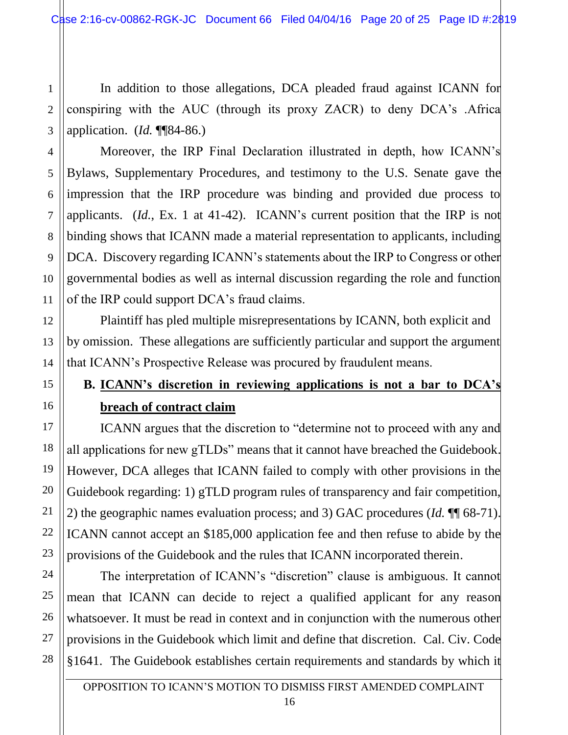1 2 3 In addition to those allegations, DCA pleaded fraud against ICANN for conspiring with the AUC (through its proxy ZACR) to deny DCA's .Africa application. (*Id.* ¶¶84-86.)

Moreover, the IRP Final Declaration illustrated in depth, how ICANN's Bylaws, Supplementary Procedures, and testimony to the U.S. Senate gave the impression that the IRP procedure was binding and provided due process to applicants. (*Id.*, Ex. 1 at 41-42). ICANN's current position that the IRP is not binding shows that ICANN made a material representation to applicants, including DCA. Discovery regarding ICANN's statements about the IRP to Congress or other governmental bodies as well as internal discussion regarding the role and function of the IRP could support DCA's fraud claims.

Plaintiff has pled multiple misrepresentations by ICANN, both explicit and by omission. These allegations are sufficiently particular and support the argument that ICANN's Prospective Release was procured by fraudulent means.

# **B. ICANN's discretion in reviewing applications is not a bar to DCA's breach of contract claim**

ICANN argues that the discretion to "determine not to proceed with any and all applications for new gTLDs" means that it cannot have breached the Guidebook. However, DCA alleges that ICANN failed to comply with other provisions in the Guidebook regarding: 1) gTLD program rules of transparency and fair competition, 2) the geographic names evaluation process; and 3) GAC procedures (*Id.* ¶¶ 68-71). ICANN cannot accept an \$185,000 application fee and then refuse to abide by the provisions of the Guidebook and the rules that ICANN incorporated therein.

The interpretation of ICANN's "discretion" clause is ambiguous. It cannot mean that ICANN can decide to reject a qualified applicant for any reason whatsoever. It must be read in context and in conjunction with the numerous other provisions in the Guidebook which limit and define that discretion. Cal. Civ. Code §1641. The Guidebook establishes certain requirements and standards by which it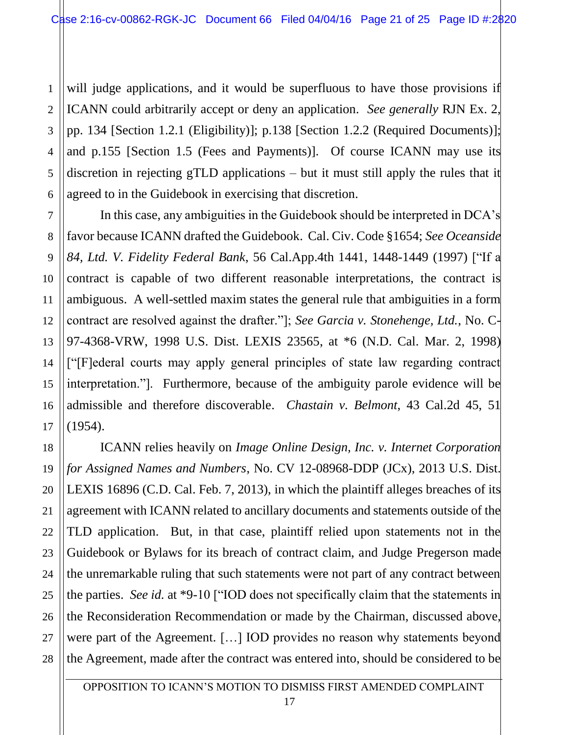1 2 3 4 5 6 will judge applications, and it would be superfluous to have those provisions if ICANN could arbitrarily accept or deny an application. *See generally* RJN Ex. 2, pp. 134 [Section 1.2.1 (Eligibility)]; p.138 [Section 1.2.2 (Required Documents)]; and p.155 [Section 1.5 (Fees and Payments)]. Of course ICANN may use its discretion in rejecting gTLD applications – but it must still apply the rules that it agreed to in the Guidebook in exercising that discretion.

7 8 9 10 12 13 14 15 16 In this case, any ambiguities in the Guidebook should be interpreted in DCA's favor because ICANN drafted the Guidebook. Cal. Civ. Code §1654; *See Oceanside 84, Ltd. V. Fidelity Federal Bank*, 56 Cal.App.4th 1441, 1448-1449 (1997) ["If a contract is capable of two different reasonable interpretations, the contract is ambiguous. A well-settled maxim states the general rule that ambiguities in a form contract are resolved against the drafter."]; *See Garcia v. Stonehenge, Ltd.*, No. C-97-4368-VRW, 1998 U.S. Dist. LEXIS 23565, at \*6 (N.D. Cal. Mar. 2, 1998) ["[F]ederal courts may apply general principles of state law regarding contract interpretation."]. Furthermore, because of the ambiguity parole evidence will be admissible and therefore discoverable. *Chastain v. Belmont*, 43 Cal.2d 45, 51 (1954).

11

17

18 19 20 21 22 23 24 25 26 27 28 ICANN relies heavily on *Image Online Design, Inc. v. Internet Corporation for Assigned Names and Numbers*, No. CV 12-08968-DDP (JCx), 2013 U.S. Dist. LEXIS 16896 (C.D. Cal. Feb. 7, 2013), in which the plaintiff alleges breaches of its agreement with ICANN related to ancillary documents and statements outside of the TLD application. But, in that case, plaintiff relied upon statements not in the Guidebook or Bylaws for its breach of contract claim, and Judge Pregerson made the unremarkable ruling that such statements were not part of any contract between the parties. *See id.* at \*9-10 ["IOD does not specifically claim that the statements in the Reconsideration Recommendation or made by the Chairman, discussed above, were part of the Agreement. […] IOD provides no reason why statements beyond the Agreement, made after the contract was entered into, should be considered to be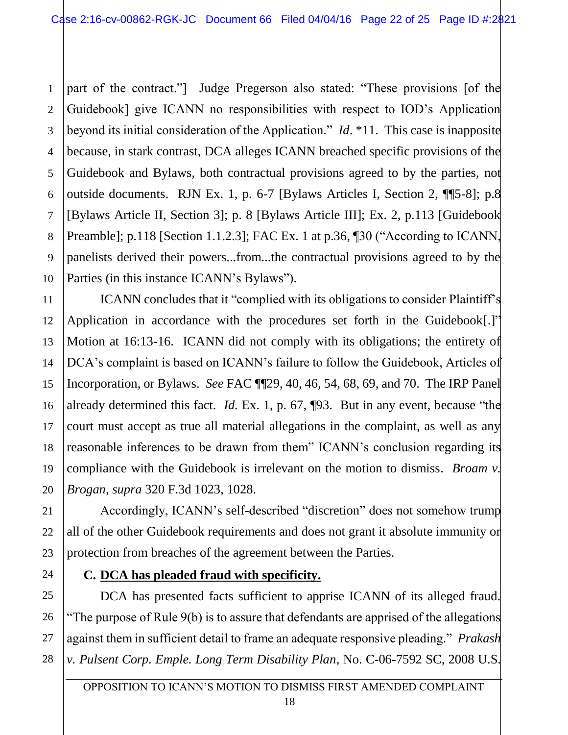1 2 3 4 5 6 7 8 9 10 part of the contract."] Judge Pregerson also stated: "These provisions [of the Guidebook] give ICANN no responsibilities with respect to IOD's Application beyond its initial consideration of the Application." *Id*. \*11. This case is inapposite because, in stark contrast, DCA alleges ICANN breached specific provisions of the Guidebook and Bylaws, both contractual provisions agreed to by the parties, not outside documents. RJN Ex. 1, p. 6-7 [Bylaws Articles I, Section 2, ¶¶5-8]; p.8 [Bylaws Article II, Section 3]; p. 8 [Bylaws Article III]; Ex. 2, p.113 [Guidebook Preamble]; p.118 [Section 1.1.2.3]; FAC Ex. 1 at p.36, ¶30 ("According to ICANN, panelists derived their powers...from...the contractual provisions agreed to by the Parties (in this instance ICANN's Bylaws").

13 14 15 16 18 19 20 ICANN concludes that it "complied with its obligations to consider Plaintiff's Application in accordance with the procedures set forth in the Guidebook[.]" Motion at 16:13-16. ICANN did not comply with its obligations; the entirety of DCA's complaint is based on ICANN's failure to follow the Guidebook, Articles of Incorporation, or Bylaws. *See* FAC ¶¶29, 40, 46, 54, 68, 69, and 70. The IRP Panel already determined this fact. *Id.* Ex. 1, p. 67, ¶93. But in any event, because "the court must accept as true all material allegations in the complaint, as well as any reasonable inferences to be drawn from them" ICANN's conclusion regarding its compliance with the Guidebook is irrelevant on the motion to dismiss. *Broam v. Brogan*, *supra* 320 F.3d 1023, 1028.

Accordingly, ICANN's self-described "discretion" does not somehow trump all of the other Guidebook requirements and does not grant it absolute immunity or protection from breaches of the agreement between the Parties.

### **C. DCA has pleaded fraud with specificity.**

11

12

17

21

22

23

24

25

26

27

28

DCA has presented facts sufficient to apprise ICANN of its alleged fraud. "The purpose of Rule 9(b) is to assure that defendants are apprised of the allegations against them in sufficient detail to frame an adequate responsive pleading." *Prakash v. Pulsent Corp. Emple. Long Term Disability Plan*, No. C-06-7592 SC, 2008 U.S.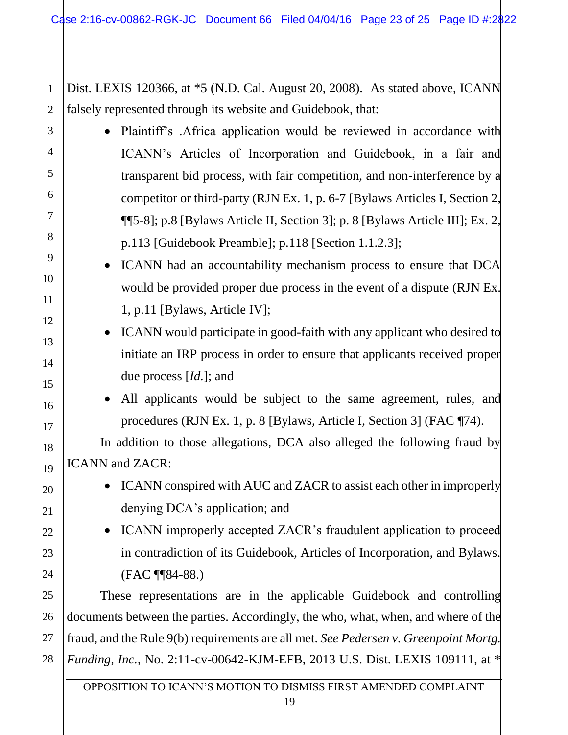2 Dist. LEXIS 120366, at \*5 (N.D. Cal. August 20, 2008). As stated above, ICANN falsely represented through its website and Guidebook, that:

1

3

4

5

6

7

8

9

10

11

12

13

14

15

16

17

18

19

20

21

22

23

24

25

26

27

28

- Plaintiff's .Africa application would be reviewed in accordance with ICANN's Articles of Incorporation and Guidebook, in a fair and transparent bid process, with fair competition, and non-interference by a competitor or third-party (RJN Ex. 1, p. 6-7 [Bylaws Articles I, Section 2, ¶¶5-8]; p.8 [Bylaws Article II, Section 3]; p. 8 [Bylaws Article III]; Ex. 2, p.113 [Guidebook Preamble]; p.118 [Section 1.1.2.3];
	- ICANN had an accountability mechanism process to ensure that DCA would be provided proper due process in the event of a dispute (RJN Ex. 1, p.11 [Bylaws, Article IV];
		- ICANN would participate in good-faith with any applicant who desired to initiate an IRP process in order to ensure that applicants received proper due process [*Id.*]; and
		- All applicants would be subject to the same agreement, rules, and procedures (RJN Ex. 1, p. 8 [Bylaws, Article I, Section 3] (FAC ¶74).

In addition to those allegations, DCA also alleged the following fraud by ICANN and ZACR:

- ICANN conspired with AUC and ZACR to assist each other in improperly denying DCA's application; and
- ICANN improperly accepted ZACR's fraudulent application to proceed in contradiction of its Guidebook, Articles of Incorporation, and Bylaws. (FAC ¶¶84-88.)

These representations are in the applicable Guidebook and controlling documents between the parties. Accordingly, the who, what, when, and where of the fraud, and the Rule 9(b) requirements are all met. *See Pedersen v. Greenpoint Mortg. Funding, Inc.*, No. 2:11-cv-00642-KJM-EFB, 2013 U.S. Dist. LEXIS 109111, at \*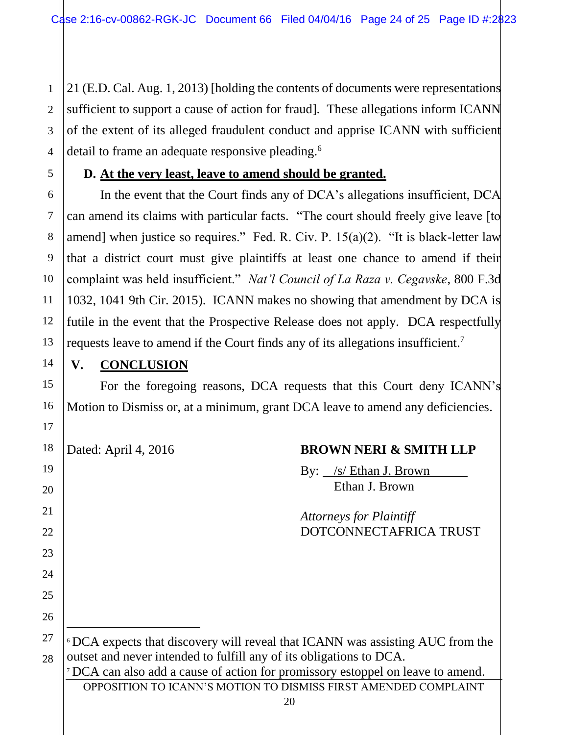1 2 21 (E.D. Cal. Aug. 1, 2013) [holding the contents of documents were representations sufficient to support a cause of action for fraud]. These allegations inform ICANN of the extent of its alleged fraudulent conduct and apprise ICANN with sufficient detail to frame an adequate responsive pleading.<sup>6</sup>

### **D. At the very least, leave to amend should be granted.**

In the event that the Court finds any of DCA's allegations insufficient, DCA can amend its claims with particular facts. "The court should freely give leave [to amend] when justice so requires." Fed. R. Civ. P.  $15(a)(2)$ . "It is black-letter law that a district court must give plaintiffs at least one chance to amend if their complaint was held insufficient." *Nat'l Council of La Raza v. Cegavske*, 800 F.3d 1032, 1041 9th Cir. 2015). ICANN makes no showing that amendment by DCA is futile in the event that the Prospective Release does not apply. DCA respectfully requests leave to amend if the Court finds any of its allegations insufficient.<sup>7</sup>

#### **V. CONCLUSION**

For the foregoing reasons, DCA requests that this Court deny ICANN's Motion to Dismiss or, at a minimum, grant DCA leave to amend any deficiencies.

| 18 | Dated: April 4, 2016<br><b>BROWN NERI &amp; SMITH LLP</b>                                  |
|----|--------------------------------------------------------------------------------------------|
| 19 | By: /s/ Ethan J. Brown                                                                     |
| 20 | Ethan J. Brown                                                                             |
| 21 | <b>Attorneys for Plaintiff</b>                                                             |
| 22 | DOTCONNECTAFRICA TRUST                                                                     |
| 23 |                                                                                            |
| 24 |                                                                                            |
| 25 |                                                                                            |
| 26 |                                                                                            |
| 27 | <sup>6</sup> DCA expects that discovery will reveal that ICANN was assisting AUC from the  |
| 28 | outset and never intended to fulfill any of its obligations to DCA.                        |
|    | <sup>7</sup> DCA can also add a cause of action for promissory estoppel on leave to amend. |
|    | OPPOSITION TO ICANN'S MOTION TO DISMISS FIRST AMENDED COMPLAINT                            |
|    | 20                                                                                         |